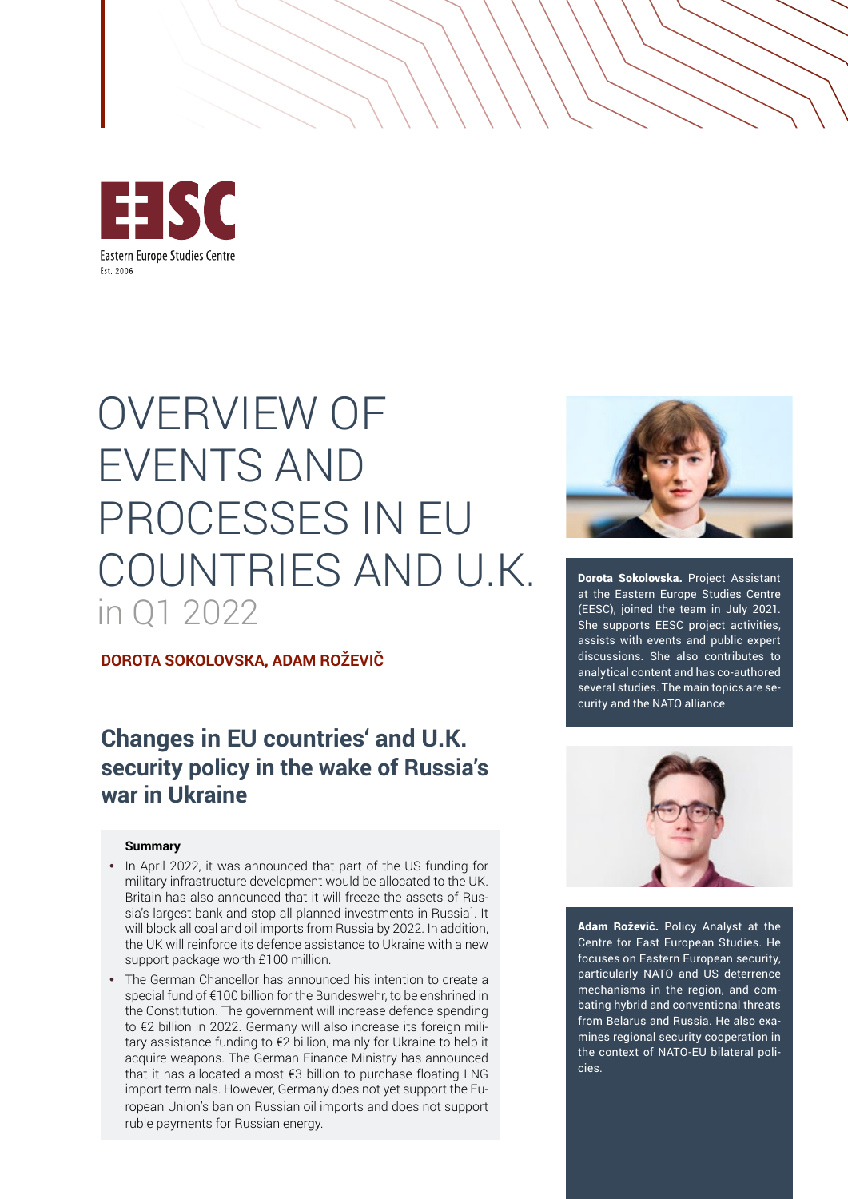

# OVERVIEW OF EVENTS AND PROCESSES IN EU COUNTRIES AND U.K. in Q1 2022

#### **DOROTA SOKOLOVSKA, ADAM ROŽEVIČ**

## **Changes in EU countries' and U.K. security policy in the wake of Russia's war in Ukraine**

#### **Summary**

- In April 2022, it was announced that part of the US funding for military infrastructure development would be allocated to the UK. Britain has also announced that it will freeze the assets of Russia's largest bank and stop all planned investments in Russia1. It will block all coal and oil imports from Russia by 2022. In addition, the UK will reinforce its defence assistance to Ukraine with a new support package worth £100 million.
- The German Chancellor has announced his intention to create a special fund of €100 billion for the Bundeswehr, to be enshrined in the Constitution. The government will increase defence spending to €2 billion in 2022. Germany will also increase its foreign military assistance funding to €2 billion, mainly for Ukraine to help it acquire weapons. The German Finance Ministry has announced that it has allocated almost €3 billion to purchase floating LNG import terminals. However, Germany does not yet support the European Union's ban on Russian oil imports and does not support ruble payments for Russian energy.



Dorota Sokolovska. Project Assistant at the Eastern Europe Studies Centre (EESC), joined the team in July 2021. She supports EESC project activities, assists with events and public expert discussions. She also contributes to analytical content and has co-authored several studies. The main topics are security and the NATO alliance



Adam Roževič. Policy Analyst at the Centre for East European Studies. He focuses on Eastern European security, particularly NATO and US deterrence mechanisms in the region, and combating hybrid and conventional threats from Belarus and Russia. He also examines regional security cooperation in the context of NATO-EU bilateral policies.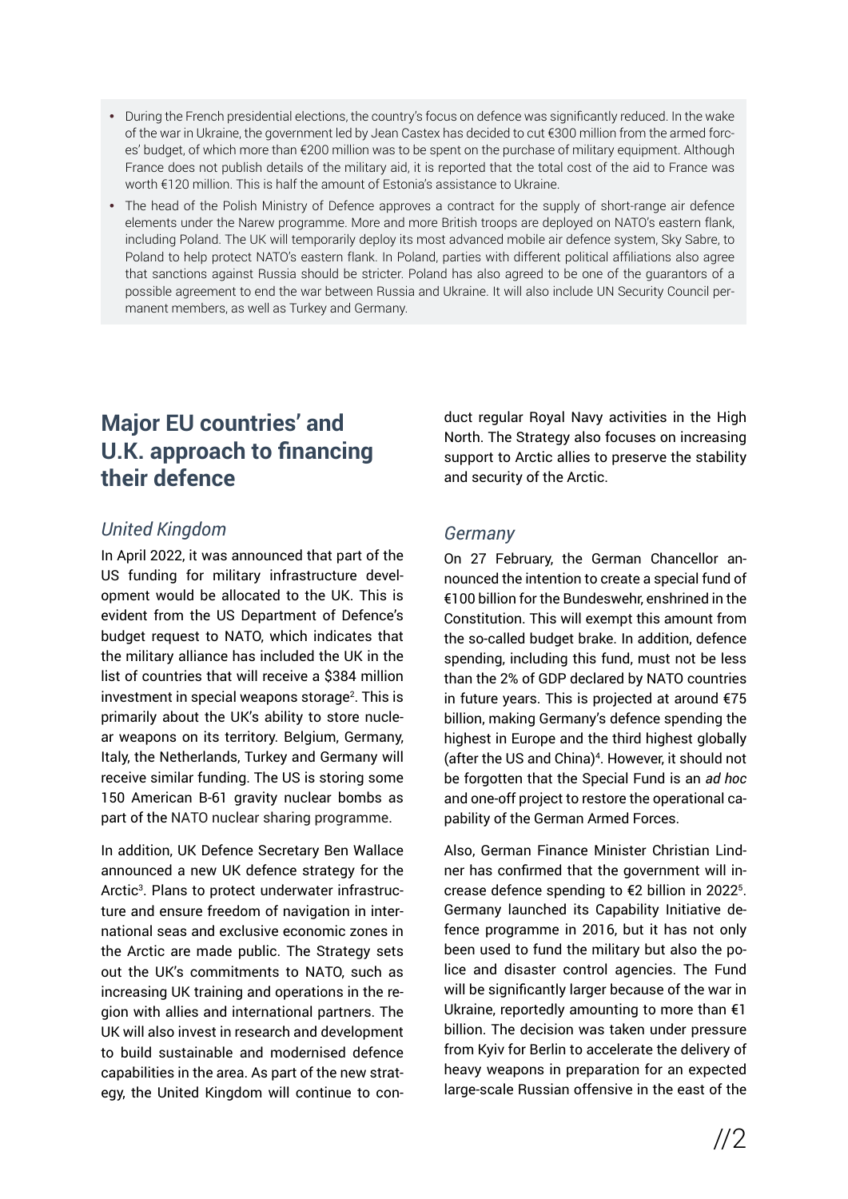- During the French presidential elections, the country's focus on defence was significantly reduced. In the wake of the war in Ukraine, the government led by Jean Castex has decided to cut €300 million from the armed forces' budget, of which more than €200 million was to be spent on the purchase of military equipment. Although France does not publish details of the military aid, it is reported that the total cost of the aid to France was worth €120 million. This is half the amount of Estonia's assistance to Ukraine.
- The head of the Polish Ministry of Defence approves a contract for the supply of short-range air defence elements under the Narew programme. More and more British troops are deployed on NATO's eastern flank, including Poland. The UK will temporarily deploy its most advanced mobile air defence system, Sky Sabre, to Poland to help protect NATO's eastern flank. In Poland, parties with different political affiliations also agree that sanctions against Russia should be stricter. Poland has also agreed to be one of the guarantors of a possible agreement to end the war between Russia and Ukraine. It will also include UN Security Council permanent members, as well as Turkey and Germany.

## **Major EU countries' and U.K. approach to financing their defence**

#### *United Kingdom*

In April 2022, it was announced that part of the US funding for military infrastructure development would be allocated to the UK. This is evident from the US Department of Defence's budget request to NATO, which indicates that the military alliance has included the UK in the list of countries that will receive a \$384 million investment in special weapons storage<sup>2</sup>. This is primarily about the UK's ability to store nuclear weapons on its territory. Belgium, Germany, Italy, the Netherlands, Turkey and Germany will receive similar funding. The US is storing some 150 American B-61 gravity nuclear bombs as part of the NATO nuclear sharing programme.

In addition, UK Defence Secretary Ben Wallace announced a new UK defence strategy for the Arctic<sup>3</sup>. Plans to protect underwater infrastructure and ensure freedom of navigation in international seas and exclusive economic zones in the Arctic are made public. The Strategy sets out the UK's commitments to NATO, such as increasing UK training and operations in the region with allies and international partners. The UK will also invest in research and development to build sustainable and modernised defence capabilities in the area. As part of the new strategy, the United Kingdom will continue to conduct regular Royal Navy activities in the High North. The Strategy also focuses on increasing support to Arctic allies to preserve the stability and security of the Arctic.

#### *Germany*

On 27 February, the German Chancellor announced the intention to create a special fund of €100 billion for the Bundeswehr, enshrined in the Constitution. This will exempt this amount from the so-called budget brake. In addition, defence spending, including this fund, must not be less than the 2% of GDP declared by NATO countries in future years. This is projected at around €75 billion, making Germany's defence spending the highest in Europe and the third highest globally (after the US and China)4 . However, it should not be forgotten that the Special Fund is an *ad hoc* and one-off project to restore the operational capability of the German Armed Forces.

Also, German Finance Minister Christian Lindner has confirmed that the government will increase defence spending to  $E$ 2 billion in 2022<sup>5</sup>. Germany launched its Capability Initiative defence programme in 2016, but it has not only been used to fund the military but also the police and disaster control agencies. The Fund will be significantly larger because of the war in Ukraine, reportedly amounting to more than  $E1$ billion. The decision was taken under pressure from Kyiv for Berlin to accelerate the delivery of heavy weapons in preparation for an expected large-scale Russian offensive in the east of the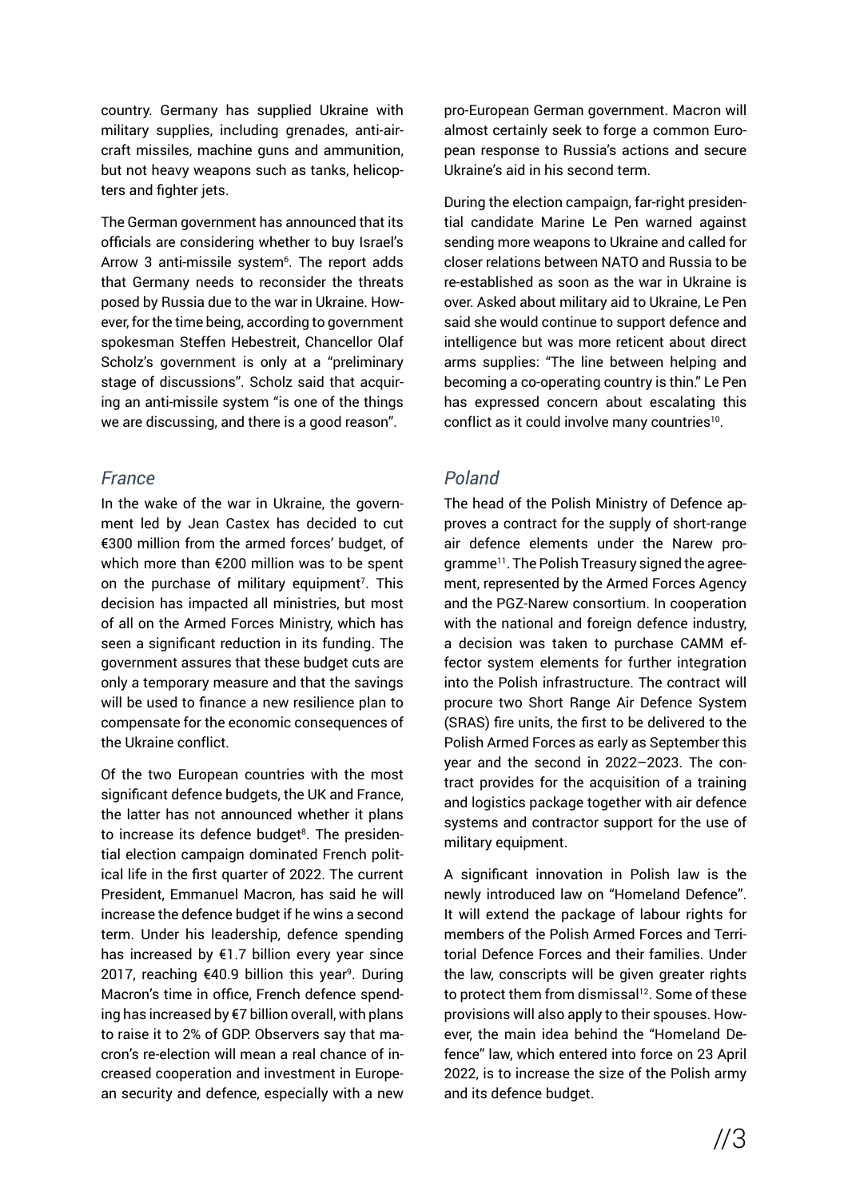country. Germany has supplied Ukraine with military supplies, including grenades, anti-aircraft missiles, machine guns and ammunition, but not heavy weapons such as tanks, helicopters and fighter jets.

The German government has announced that its officials are considering whether to buy Israel's Arrow 3 anti-missile system<sup>6</sup>. The report adds that Germany needs to reconsider the threats posed by Russia due to the war in Ukraine. However, for the time being, according to government spokesman Steffen Hebestreit, Chancellor Olaf Scholz's government is only at a "preliminary stage of discussions". Scholz said that acquiring an anti-missile system "is one of the things we are discussing, and there is a good reason".

#### *France*

In the wake of the war in Ukraine, the government led by Jean Castex has decided to cut €300 million from the armed forces' budget, of which more than €200 million was to be spent on the purchase of military equipment<sup>7</sup>. This decision has impacted all ministries, but most of all on the Armed Forces Ministry, which has seen a significant reduction in its funding. The government assures that these budget cuts are only a temporary measure and that the savings will be used to finance a new resilience plan to compensate for the economic consequences of the Ukraine conflict.

Of the two European countries with the most significant defence budgets, the UK and France, the latter has not announced whether it plans to increase its defence budget8. The presidential election campaign dominated French political life in the first quarter of 2022. The current President, Emmanuel Macron, has said he will increase the defence budget if he wins a second term. Under his leadership, defence spending has increased by  $E1.7$  billion every year since 2017, reaching €40.9 billion this year<sup>9</sup>. During Macron's time in office, French defence spending has increased by €7 billion overall, with plans to raise it to 2% of GDP. Observers say that macron's re-election will mean a real chance of increased cooperation and investment in European security and defence, especially with a new pro-European German government. Macron will almost certainly seek to forge a common European response to Russia's actions and secure Ukraine's aid in his second term.

During the election campaign, far-right presidential candidate Marine Le Pen warned against sending more weapons to Ukraine and called for closer relations between NATO and Russia to be re-established as soon as the war in Ukraine is over. Asked about military aid to Ukraine, Le Pen said she would continue to support defence and intelligence but was more reticent about direct arms supplies: "The line between helping and becoming a co-operating country is thin." Le Pen has expressed concern about escalating this conflict as it could involve many countries<sup>10</sup>.

#### *Poland*

The head of the Polish Ministry of Defence approves a contract for the supply of short-range air defence elements under the Narew programme11. The Polish Treasury signed the agreement, represented by the Armed Forces Agency and the PGZ-Narew consortium. In cooperation with the national and foreign defence industry, a decision was taken to purchase CAMM effector system elements for further integration into the Polish infrastructure. The contract will procure two Short Range Air Defence System (SRAS) fire units, the first to be delivered to the Polish Armed Forces as early as September this year and the second in 2022–2023. The contract provides for the acquisition of a training and logistics package together with air defence systems and contractor support for the use of military equipment.

A significant innovation in Polish law is the newly introduced law on "Homeland Defence". It will extend the package of labour rights for members of the Polish Armed Forces and Territorial Defence Forces and their families. Under the law, conscripts will be given greater rights to protect them from dismissal<sup>12</sup>. Some of these provisions will also apply to their spouses. However, the main idea behind the "Homeland Defence" law, which entered into force on 23 April 2022, is to increase the size of the Polish army and its defence budget.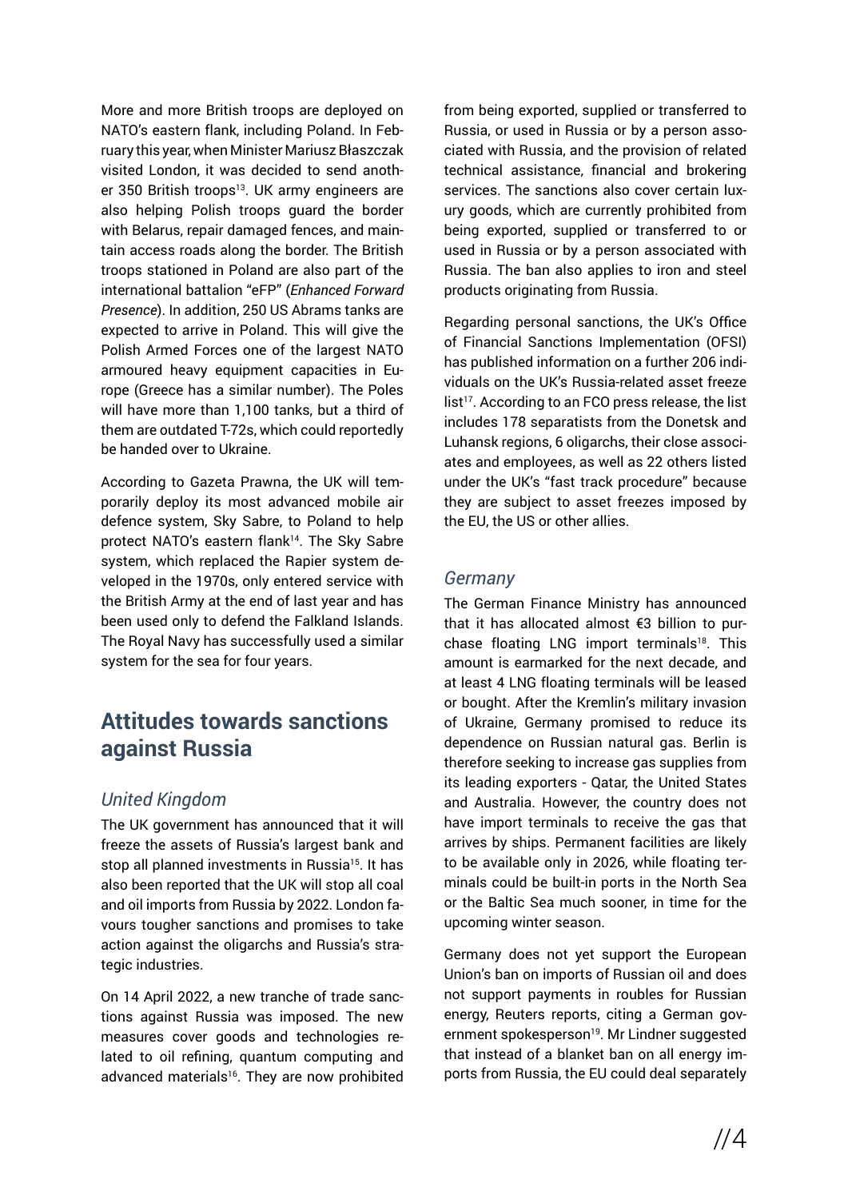More and more British troops are deployed on NATO's eastern flank, including Poland. In February this year, when Minister Mariusz Błaszczak visited London, it was decided to send another 350 British troops<sup>13</sup>. UK army engineers are also helping Polish troops guard the border with Belarus, repair damaged fences, and maintain access roads along the border. The British troops stationed in Poland are also part of the international battalion "eFP" (*Enhanced Forward Presence*). In addition, 250 US Abrams tanks are expected to arrive in Poland. This will give the Polish Armed Forces one of the largest NATO armoured heavy equipment capacities in Europe (Greece has a similar number). The Poles will have more than 1,100 tanks, but a third of them are outdated T-72s, which could reportedly be handed over to Ukraine.

According to Gazeta Prawna, the UK will temporarily deploy its most advanced mobile air defence system, Sky Sabre, to Poland to help protect NATO's eastern flank<sup>14</sup>. The Sky Sabre system, which replaced the Rapier system developed in the 1970s, only entered service with the British Army at the end of last year and has been used only to defend the Falkland Islands. The Royal Navy has successfully used a similar system for the sea for four years.

## **Attitudes towards sanctions against Russia**

#### *United Kingdom*

The UK government has announced that it will freeze the assets of Russia's largest bank and stop all planned investments in Russia<sup>15</sup>. It has also been reported that the UK will stop all coal and oil imports from Russia by 2022. London favours tougher sanctions and promises to take action against the oligarchs and Russia's strategic industries.

On 14 April 2022, a new tranche of trade sanctions against Russia was imposed. The new measures cover goods and technologies related to oil refining, quantum computing and advanced materials<sup>16</sup>. They are now prohibited from being exported, supplied or transferred to Russia, or used in Russia or by a person associated with Russia, and the provision of related technical assistance, financial and brokering services. The sanctions also cover certain luxury goods, which are currently prohibited from being exported, supplied or transferred to or used in Russia or by a person associated with Russia. The ban also applies to iron and steel products originating from Russia.

Regarding personal sanctions, the UK's Office of Financial Sanctions Implementation (OFSI) has published information on a further 206 individuals on the UK's Russia-related asset freeze list<sup>17</sup>. According to an FCO press release, the list includes 178 separatists from the Donetsk and Luhansk regions, 6 oligarchs, their close associates and employees, as well as 22 others listed under the UK's "fast track procedure" because they are subject to asset freezes imposed by the EU, the US or other allies.

#### *Germany*

The German Finance Ministry has announced that it has allocated almost €3 billion to purchase floating LNG import terminals<sup>18</sup>. This amount is earmarked for the next decade, and at least 4 LNG floating terminals will be leased or bought. After the Kremlin's military invasion of Ukraine, Germany promised to reduce its dependence on Russian natural gas. Berlin is therefore seeking to increase gas supplies from its leading exporters - Qatar, the United States and Australia. However, the country does not have import terminals to receive the gas that arrives by ships. Permanent facilities are likely to be available only in 2026, while floating terminals could be built-in ports in the North Sea or the Baltic Sea much sooner, in time for the upcoming winter season.

Germany does not yet support the European Union's ban on imports of Russian oil and does not support payments in roubles for Russian energy, Reuters reports, citing a German government spokesperson<sup>19</sup>. Mr Lindner suggested that instead of a blanket ban on all energy imports from Russia, the EU could deal separately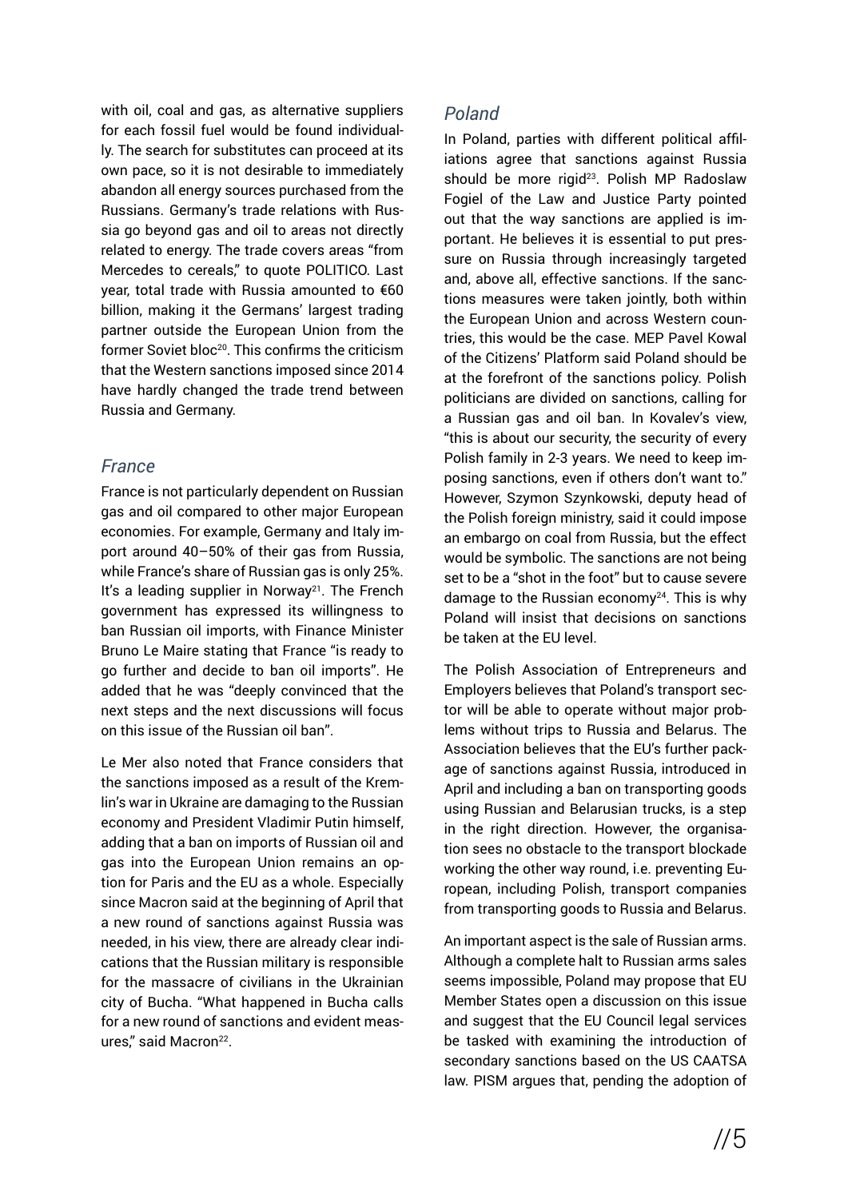with oil, coal and gas, as alternative suppliers for each fossil fuel would be found individually. The search for substitutes can proceed at its own pace, so it is not desirable to immediately abandon all energy sources purchased from the Russians. Germany's trade relations with Russia go beyond gas and oil to areas not directly related to energy. The trade covers areas "from Mercedes to cereals," to quote POLITICO. Last year, total trade with Russia amounted to €60 billion, making it the Germans' largest trading partner outside the European Union from the former Soviet bloc<sup>20</sup>. This confirms the criticism that the Western sanctions imposed since 2014 have hardly changed the trade trend between Russia and Germany.

#### *France*

France is not particularly dependent on Russian gas and oil compared to other major European economies. For example, Germany and Italy import around 40–50% of their gas from Russia, while France's share of Russian gas is only 25%. It's a leading supplier in Norway<sup>21</sup>. The French government has expressed its willingness to ban Russian oil imports, with Finance Minister Bruno Le Maire stating that France "is ready to go further and decide to ban oil imports". He added that he was "deeply convinced that the next steps and the next discussions will focus on this issue of the Russian oil ban".

Le Mer also noted that France considers that the sanctions imposed as a result of the Kremlin's war in Ukraine are damaging to the Russian economy and President Vladimir Putin himself, adding that a ban on imports of Russian oil and gas into the European Union remains an option for Paris and the EU as a whole. Especially since Macron said at the beginning of April that a new round of sanctions against Russia was needed, in his view, there are already clear indications that the Russian military is responsible for the massacre of civilians in the Ukrainian city of Bucha. "What happened in Bucha calls for a new round of sanctions and evident measures," said Macron<sup>22</sup>.

#### *Poland*

In Poland, parties with different political affiliations agree that sanctions against Russia should be more rigid<sup>23</sup>. Polish MP Radoslaw Fogiel of the Law and Justice Party pointed out that the way sanctions are applied is important. He believes it is essential to put pressure on Russia through increasingly targeted and, above all, effective sanctions. If the sanctions measures were taken jointly, both within the European Union and across Western countries, this would be the case. MEP Pavel Kowal of the Citizens' Platform said Poland should be at the forefront of the sanctions policy. Polish politicians are divided on sanctions, calling for a Russian gas and oil ban. In Kovalev's view, "this is about our security, the security of every Polish family in 2-3 years. We need to keep imposing sanctions, even if others don't want to." However, Szymon Szynkowski, deputy head of the Polish foreign ministry, said it could impose an embargo on coal from Russia, but the effect would be symbolic. The sanctions are not being set to be a "shot in the foot" but to cause severe damage to the Russian economy $24$ . This is why Poland will insist that decisions on sanctions be taken at the EU level.

The Polish Association of Entrepreneurs and Employers believes that Poland's transport sector will be able to operate without major problems without trips to Russia and Belarus. The Association believes that the EU's further package of sanctions against Russia, introduced in April and including a ban on transporting goods using Russian and Belarusian trucks, is a step in the right direction. However, the organisation sees no obstacle to the transport blockade working the other way round, i.e. preventing European, including Polish, transport companies from transporting goods to Russia and Belarus.

An important aspect is the sale of Russian arms. Although a complete halt to Russian arms sales seems impossible, Poland may propose that EU Member States open a discussion on this issue and suggest that the EU Council legal services be tasked with examining the introduction of secondary sanctions based on the US CAATSA law. PISM argues that, pending the adoption of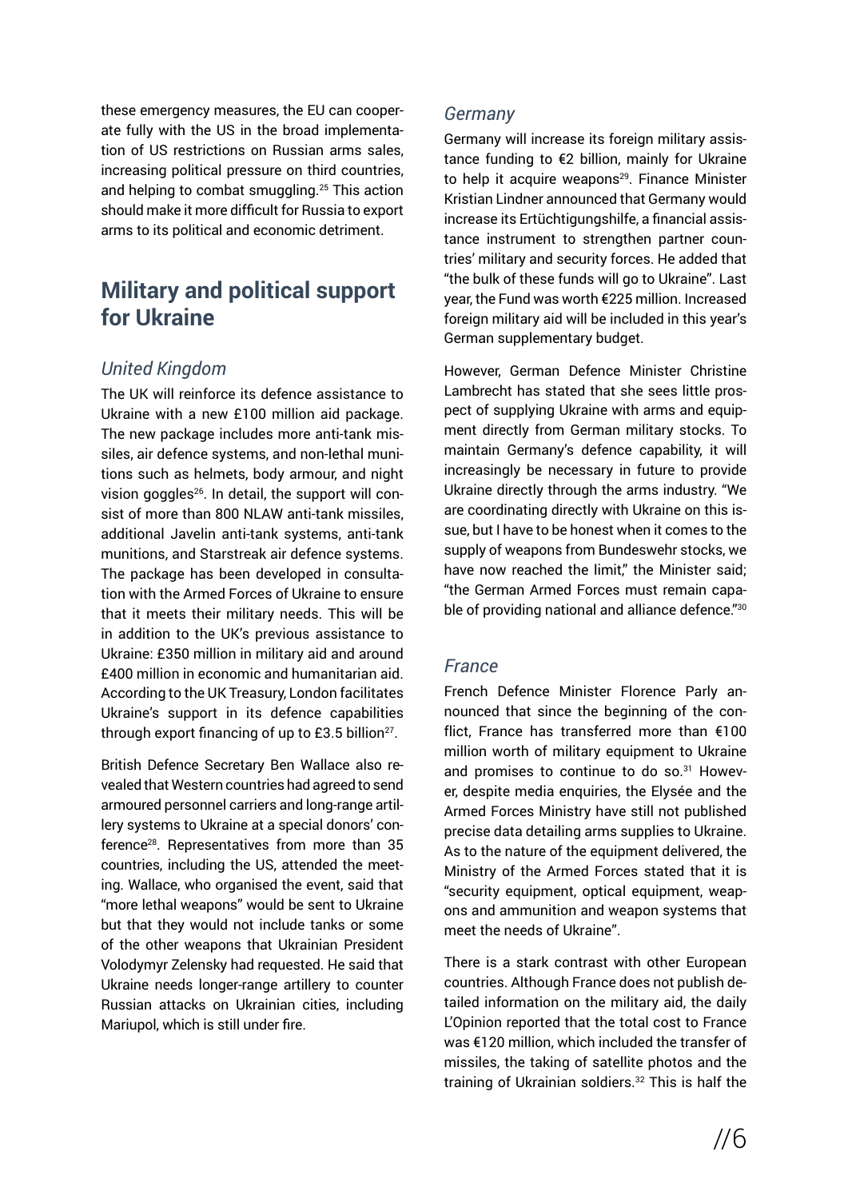these emergency measures, the EU can cooperate fully with the US in the broad implementation of US restrictions on Russian arms sales, increasing political pressure on third countries, and helping to combat smuggling.25 This action should make it more difficult for Russia to export arms to its political and economic detriment.

## **Military and political support for Ukraine**

#### *United Kingdom*

The UK will reinforce its defence assistance to Ukraine with a new £100 million aid package. The new package includes more anti-tank missiles, air defence systems, and non-lethal munitions such as helmets, body armour, and night vision goggles<sup>26</sup>. In detail, the support will consist of more than 800 NLAW anti-tank missiles, additional Javelin anti-tank systems, anti-tank munitions, and Starstreak air defence systems. The package has been developed in consultation with the Armed Forces of Ukraine to ensure that it meets their military needs. This will be in addition to the UK's previous assistance to Ukraine: £350 million in military aid and around £400 million in economic and humanitarian aid. According to the UK Treasury, London facilitates Ukraine's support in its defence capabilities through export financing of up to  $£3.5$  billion<sup>27</sup>.

British Defence Secretary Ben Wallace also revealed that Western countries had agreed to send armoured personnel carriers and long-range artillery systems to Ukraine at a special donors' conference28. Representatives from more than 35 countries, including the US, attended the meeting. Wallace, who organised the event, said that "more lethal weapons" would be sent to Ukraine but that they would not include tanks or some of the other weapons that Ukrainian President Volodymyr Zelensky had requested. He said that Ukraine needs longer-range artillery to counter Russian attacks on Ukrainian cities, including Mariupol, which is still under fire.

#### *Germany*

Germany will increase its foreign military assistance funding to €2 billion, mainly for Ukraine to help it acquire weapons<sup>29</sup>. Finance Minister Kristian Lindner announced that Germany would increase its Ertüchtigungshilfe, a financial assistance instrument to strengthen partner countries' military and security forces. He added that "the bulk of these funds will go to Ukraine". Last year, the Fund was worth €225 million. Increased foreign military aid will be included in this year's German supplementary budget.

However, German Defence Minister Christine Lambrecht has stated that she sees little prospect of supplying Ukraine with arms and equipment directly from German military stocks. To maintain Germany's defence capability, it will increasingly be necessary in future to provide Ukraine directly through the arms industry. "We are coordinating directly with Ukraine on this issue, but I have to be honest when it comes to the supply of weapons from Bundeswehr stocks, we have now reached the limit," the Minister said; "the German Armed Forces must remain capable of providing national and alliance defence."30

#### *France*

French Defence Minister Florence Parly announced that since the beginning of the conflict, France has transferred more than €100 million worth of military equipment to Ukraine and promises to continue to do so.<sup>31</sup> However, despite media enquiries, the Elysée and the Armed Forces Ministry have still not published precise data detailing arms supplies to Ukraine. As to the nature of the equipment delivered, the Ministry of the Armed Forces stated that it is "security equipment, optical equipment, weapons and ammunition and weapon systems that meet the needs of Ukraine".

There is a stark contrast with other European countries. Although France does not publish detailed information on the military aid, the daily L'Opinion reported that the total cost to France was €120 million, which included the transfer of missiles, the taking of satellite photos and the training of Ukrainian soldiers.32 This is half the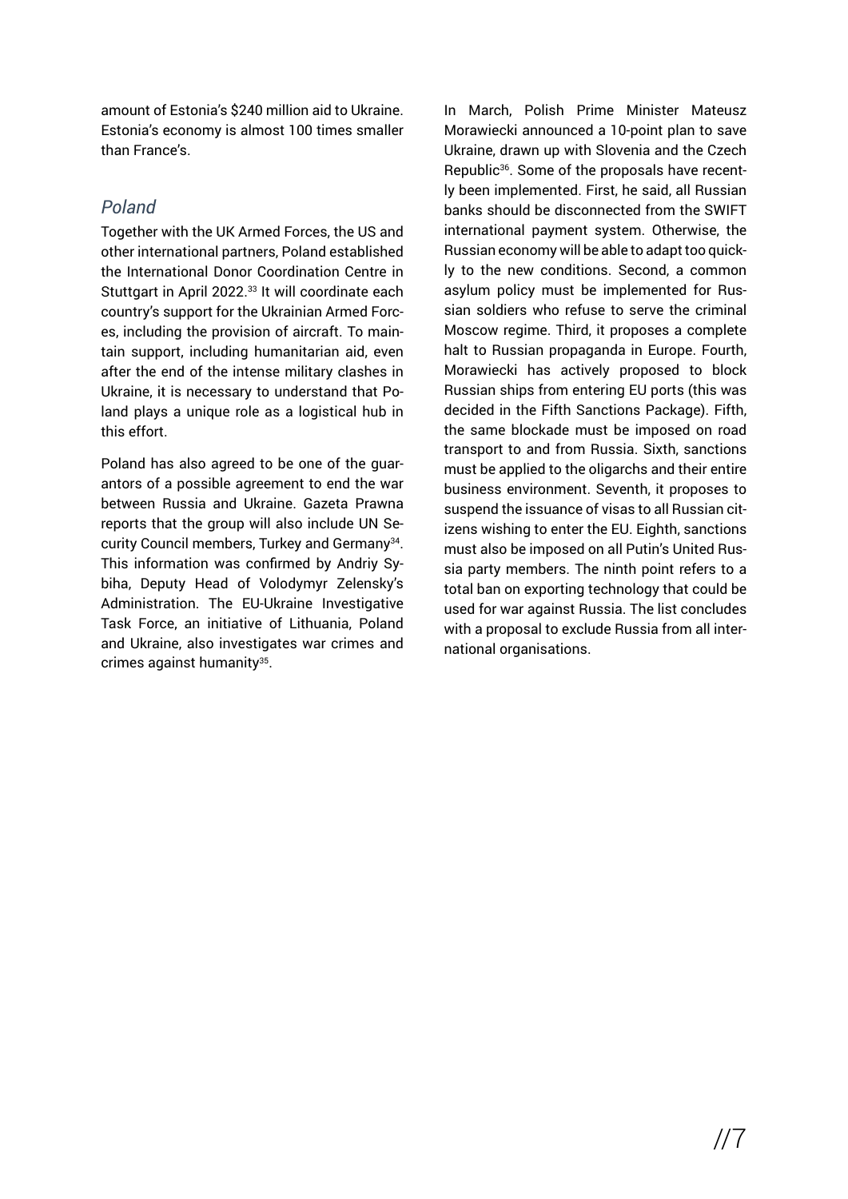amount of Estonia's \$240 million aid to Ukraine. Estonia's economy is almost 100 times smaller than France's.

### *Poland*

Together with the UK Armed Forces, the US and other international partners, Poland established the International Donor Coordination Centre in Stuttgart in April 2022.<sup>33</sup> It will coordinate each country's support for the Ukrainian Armed Forces, including the provision of aircraft. To maintain support, including humanitarian aid, even after the end of the intense military clashes in Ukraine, it is necessary to understand that Poland plays a unique role as a logistical hub in this effort.

Poland has also agreed to be one of the guarantors of a possible agreement to end the war between Russia and Ukraine. Gazeta Prawna reports that the group will also include UN Security Council members, Turkey and Germany34. This information was confirmed by Andriy Sybiha, Deputy Head of Volodymyr Zelensky's Administration. The EU-Ukraine Investigative Task Force, an initiative of Lithuania, Poland and Ukraine, also investigates war crimes and crimes against humanity $35$ .

In March, Polish Prime Minister Mateusz Morawiecki announced a 10-point plan to save Ukraine, drawn up with Slovenia and the Czech Republic36. Some of the proposals have recently been implemented. First, he said, all Russian banks should be disconnected from the SWIFT international payment system. Otherwise, the Russian economy will be able to adapt too quickly to the new conditions. Second, a common asylum policy must be implemented for Russian soldiers who refuse to serve the criminal Moscow regime. Third, it proposes a complete halt to Russian propaganda in Europe. Fourth, Morawiecki has actively proposed to block Russian ships from entering EU ports (this was decided in the Fifth Sanctions Package). Fifth, the same blockade must be imposed on road transport to and from Russia. Sixth, sanctions must be applied to the oligarchs and their entire business environment. Seventh, it proposes to suspend the issuance of visas to all Russian citizens wishing to enter the EU. Eighth, sanctions must also be imposed on all Putin's United Russia party members. The ninth point refers to a total ban on exporting technology that could be used for war against Russia. The list concludes with a proposal to exclude Russia from all international organisations.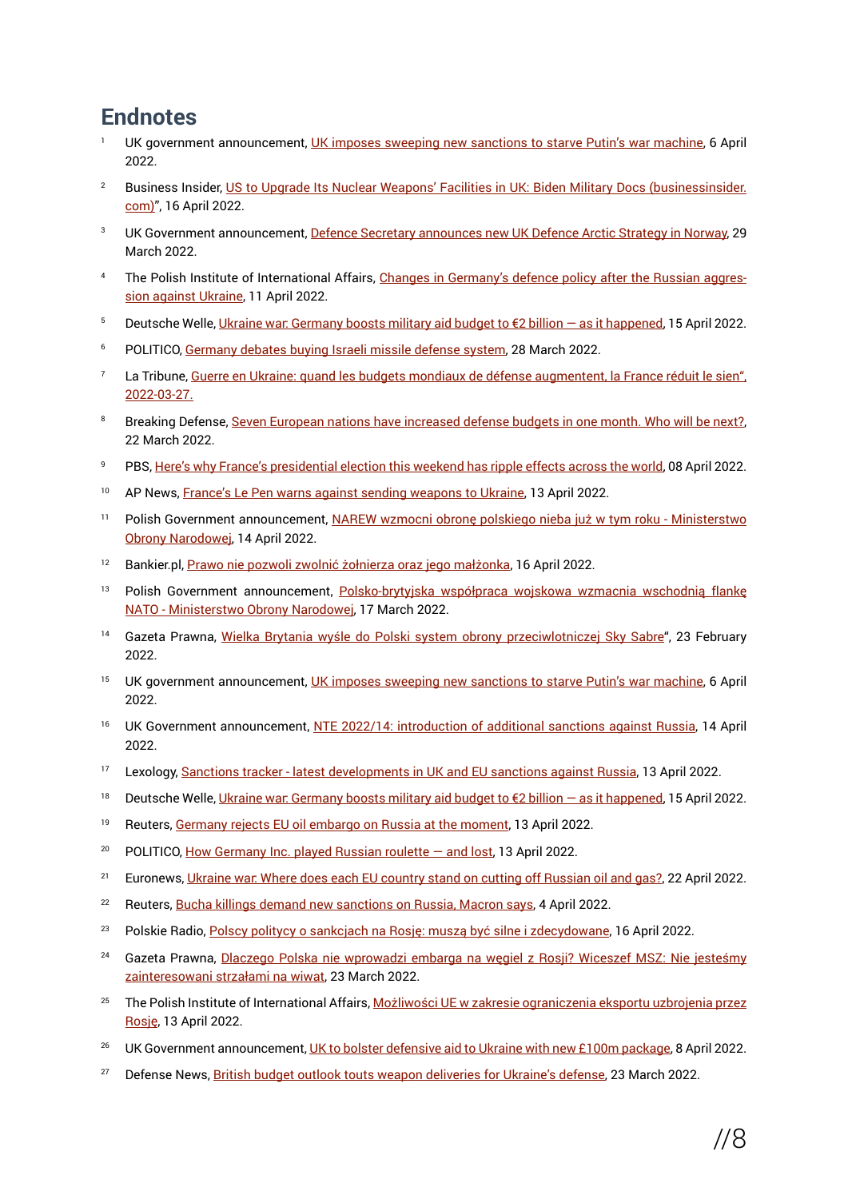## **Endnotes**

- UK government announcement, [UK imposes sweeping new sanctions to starve Putin's war machine,](https://www.gov.uk/government/news/uk-imposes-sweeping-new-sanctions-to-starve-putins-war-machine) 6 April 2022.
- <sup>2</sup> Business Insider, [US to Upgrade Its Nuclear Weapons' Facilities in UK: Biden Military Docs \(businessinsider.](https://www.businessinsider.com/us-to-upgrade-nuclear-weapons-facilities-uk-biden-military-docs-2022-4) [com\)"](https://www.businessinsider.com/us-to-upgrade-nuclear-weapons-facilities-uk-biden-military-docs-2022-4), 16 April 2022.
- UK Government announcement, [Defence Secretary announces new UK Defence Arctic Strategy in Norway](https://www.gov.uk/government/news/defence-secretary-announces-new-uk-defence-arctic-strategy-in-norway), 29 March 2022.
- The Polish Institute of International Affairs, [Changes in Germany's defence policy after the Russian aggres](https://www.pism.pl/publikacje/zmiany-w-polityce-obronnej-niemiec-po-rosyjskiej-agresji-na-ukraine)[sion against Ukraine,](https://www.pism.pl/publikacje/zmiany-w-polityce-obronnej-niemiec-po-rosyjskiej-agresji-na-ukraine) 11 April 2022.
- 5 Deutsche Welle, [Ukraine war: Germany boosts military aid budget to €2 billion as it happened,](https://www.dw.com/en/ukraine-war-germany-boosts-military-aid-budget-to-2-billion-as-it-happened/a-61483145) 15 April 2022.
- <sup>6</sup> POLITICO, [Germany debates buying Israeli missile defense system](https://www.politico.eu/article/germany-in-preliminary-discussions-to-buy-israeli-air-defense-system/), 28 March 2022.
- La Tribune, [Guerre en Ukraine: quand les budgets mondiaux de défense augmentent, la France réduit le sien",](https://www.latribune.fr/entreprises-finance/industrie/aeronautique-defense/guerre-en-ukraine-quand-les-budgets-mondiaux-de-defense-augmentent-la-france-reduit-le-sien-907062.html) [2022-03-27.](https://www.latribune.fr/entreprises-finance/industrie/aeronautique-defense/guerre-en-ukraine-quand-les-budgets-mondiaux-de-defense-augmentent-la-france-reduit-le-sien-907062.html)
- Breaking Defense, [Seven European nations have increased defense budgets in one month. Who will be next?,](https://breakingdefense.com/2022/03/seven-european-nations-have-increased-defense-budgets-in-one-month-who-will-be-next/) 22 March 2022.
- <sup>9</sup> PBS, [Here's why France's presidential election this weekend has ripple effects across the world,](https://www.pbs.org/newshour/world/heres-why-frances-presidential-election-this-weekend-has-ripple-effects-across-the-world) 08 April 2022.
- <sup>10</sup> AP News, [France's Le Pen warns against sending weapons to Ukraine](https://apnews.com/article/russia-ukraine-business-marine-le-pen-macron-moscow-d79b5ddd4fe93ebef39da900d99b22da), 13 April 2022.
- <sup>11</sup> Polish Government announcement, [NAREW wzmocni obronę polskiego nieba już w tym roku Ministerstwo](https://www.gov.pl/web/obrona-narodowa/narew-wzmocni-obrone-polskiego-nieba-juz-w-tym-roku) [Obrony Narodowej,](https://www.gov.pl/web/obrona-narodowa/narew-wzmocni-obrone-polskiego-nieba-juz-w-tym-roku) 14 April 2022.
- <sup>12</sup> Bankier.pl, [Prawo nie pozwoli zwolnić żołnierza oraz jego małżonka](https://www.bankier.pl/wiadomosc/Prawo-nie-pozwoli-zwolnic-zolnierza-oraz-jego-malzonka-8318139.html), 16 April 2022.
- <sup>13</sup> Polish Government announcement, [Polsko-brytyjska współpraca wojskowa wzmacnia wschodnią flankę](https://www.gov.pl/web/obrona-narodowa/polsko-brytyjska-wspolpraca-wojskowa-wzmacnia-wschodnia-flanke-nato) [NATO - Ministerstwo Obrony Narodowej](https://www.gov.pl/web/obrona-narodowa/polsko-brytyjska-wspolpraca-wojskowa-wzmacnia-wschodnia-flanke-nato), 17 March 2022.
- 14 Gazeta Prawna, [Wielka Brytania wyśle do Polski system obrony przeciwlotniczej Sky Sabre](https://www.gazetaprawna.pl/wiadomosci/kraj/artykuly/8364728,system-obrony-przeciwlotniczej-sky-sabre-w-polsce.html)", 23 February 2022.
- <sup>15</sup> UK government announcement, *UK imposes sweeping new sanctions to starve Putin's war machine*, 6 April 2022.
- <sup>16</sup> UK Government announcement, [NTE 2022/14: introduction of additional sanctions against Russia](https://www.gov.uk/government/publications/notice-to-exporters-202214-additional-sanctions-against-russia/nte-202214-introduction-of-additional-sanctions-against-russia), 14 April 2022.
- <sup>17</sup> Lexology, [Sanctions tracker latest developments in UK and EU sanctions against Russia,](https://www.lexology.com/library/detail.aspx?g=ebd7f0be-b2d2-4ada-a30b-ba744c3b6b42) 13 April 2022.
- <sup>18</sup> Deutsche Welle, Ukraine war: Germany boosts military aid budget to €2 billion as it happened, 15 April 2022.
- <sup>19</sup> Reuters, [Germany rejects EU oil embargo on Russia at the moment](https://www.reuters.com/business/energy/germany-rejects-eu-oil-embargo-russia-moment-2022-04-13/), 13 April 2022.
- <sup>20</sup> POLITICO, How Germany Inc. played Russian roulette  $-$  and lost, 13 April 2022.
- <sup>21</sup> Euronews, Ukraine war. Where does each EU country stand on cutting off Russian oil and gas?, 22 April 2022.
- <sup>22</sup> Reuters, [Bucha killings demand new sanctions on Russia, Macron says](https://www.reuters.com/world/europe/french-president-macron-new-sanctions-russia-needed-after-killings-ukraines-2022-04-04/), 4 April 2022.
- <sup>23</sup> Polskie Radio, [Polscy politycy o sankcjach na Rosję: muszą być silne i zdecydowane](https://www.polskieradio.pl/399/7975/Artykul/2940629,Polscy-politycy-o-sankcjach-na-Rosje-musza-byc-silne-i-zdecydowane), 16 April 2022.
- <sup>24</sup> Gazeta Prawna, [Dlaczego Polska nie wprowadzi embarga na węgiel z Rosji?](https://www.gazetaprawna.pl/wiadomosci/kraj/artykuly/8385448,embargo-na-wegiel-z-rosji-wiceszef-msz-szynkowski-vel-sek.html) [Wiceszef MSZ:](https://www.gazetaprawna.pl/wiadomosci/kraj/artykuly/8385448,embargo-na-wegiel-z-rosji-wiceszef-msz-szynkowski-vel-sek.html) [Nie jesteśmy](https://www.gazetaprawna.pl/wiadomosci/kraj/artykuly/8385448,embargo-na-wegiel-z-rosji-wiceszef-msz-szynkowski-vel-sek.html) [zainteresowani strzałami na wiwat](https://www.gazetaprawna.pl/wiadomosci/kraj/artykuly/8385448,embargo-na-wegiel-z-rosji-wiceszef-msz-szynkowski-vel-sek.html), 23 March 2022.
- <sup>25</sup> The Polish Institute of International Affairs, [Możliwości UE w zakresie ograniczenia eksportu uzbrojenia przez](https://www.pism.pl/publikacje/mozliwosci-ue-w-zakresie-ograniczenia-eksportu-uzbrojenia-przez-rosje) [Rosję](https://www.pism.pl/publikacje/mozliwosci-ue-w-zakresie-ograniczenia-eksportu-uzbrojenia-przez-rosje), 13 April 2022.
- <sup>26</sup> UK Government announcement, [UK to bolster defensive aid to Ukraine with new £100m package,](https://www.gov.uk/government/news/uk-to-bolster-defensive-aid-to-ukraine-with-new-100m-package) 8 April 2022.
- <sup>27</sup> Defense News, [British budget outlook touts weapon deliveries for Ukraine's defense,](https://www.defensenews.com/global/europe/2022/03/23/british-budget-outlook-touts-weapon-deliveries-for-ukraines-defense/) 23 March 2022.